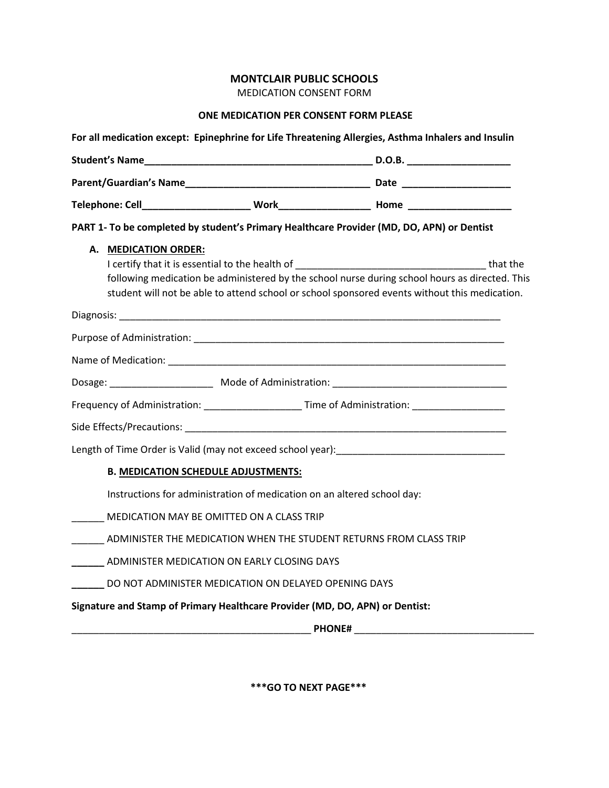## **MONTCLAIR PUBLIC SCHOOLS**

MEDICATION CONSENT FORM

## **ONE MEDICATION PER CONSENT FORM PLEASE**

|                                                                              |                                                                         | PART 1- To be completed by student's Primary Healthcare Provider (MD, DO, APN) or Dentist                                                                                                                                                                                                                                                                                                                                        |
|------------------------------------------------------------------------------|-------------------------------------------------------------------------|----------------------------------------------------------------------------------------------------------------------------------------------------------------------------------------------------------------------------------------------------------------------------------------------------------------------------------------------------------------------------------------------------------------------------------|
| <b>MEDICATION ORDER:</b><br>А.                                               |                                                                         | I certify that it is essential to the health of the state of the state of that the state of the state of the state of the state of the state of the state of the state of the state of the state of the state of the state of<br>following medication be administered by the school nurse during school hours as directed. This<br>student will not be able to attend school or school sponsored events without this medication. |
|                                                                              |                                                                         |                                                                                                                                                                                                                                                                                                                                                                                                                                  |
|                                                                              |                                                                         |                                                                                                                                                                                                                                                                                                                                                                                                                                  |
|                                                                              |                                                                         |                                                                                                                                                                                                                                                                                                                                                                                                                                  |
|                                                                              |                                                                         |                                                                                                                                                                                                                                                                                                                                                                                                                                  |
|                                                                              |                                                                         | Frequency of Administration: ________________________Time of Administration: ______________________                                                                                                                                                                                                                                                                                                                              |
|                                                                              |                                                                         |                                                                                                                                                                                                                                                                                                                                                                                                                                  |
|                                                                              |                                                                         | Length of Time Order is Valid (may not exceed school year): Length of Time Dream Length of Time Dream Length                                                                                                                                                                                                                                                                                                                     |
|                                                                              | <b>B. MEDICATION SCHEDULE ADJUSTMENTS:</b>                              |                                                                                                                                                                                                                                                                                                                                                                                                                                  |
|                                                                              | Instructions for administration of medication on an altered school day: |                                                                                                                                                                                                                                                                                                                                                                                                                                  |
| MEDICATION MAY BE OMITTED ON A CLASS TRIP                                    |                                                                         |                                                                                                                                                                                                                                                                                                                                                                                                                                  |
|                                                                              |                                                                         | ADMINISTER THE MEDICATION WHEN THE STUDENT RETURNS FROM CLASS TRIP                                                                                                                                                                                                                                                                                                                                                               |
| ADMINISTER MEDICATION ON EARLY CLOSING DAYS                                  |                                                                         |                                                                                                                                                                                                                                                                                                                                                                                                                                  |
| DO NOT ADMINISTER MEDICATION ON DELAYED OPENING DAYS                         |                                                                         |                                                                                                                                                                                                                                                                                                                                                                                                                                  |
| Signature and Stamp of Primary Healthcare Provider (MD, DO, APN) or Dentist: |                                                                         |                                                                                                                                                                                                                                                                                                                                                                                                                                  |
|                                                                              |                                                                         | <b>PHONE# Example 2 PHONE</b>                                                                                                                                                                                                                                                                                                                                                                                                    |

**\*\*\*GO TO NEXT PAGE\*\*\***